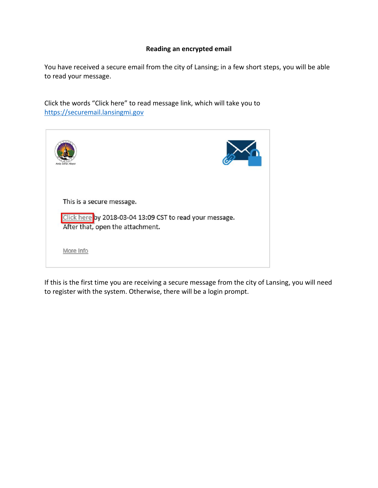## **Reading an encrypted email**

You have received a secure email from the city of Lansing; in a few short steps, you will be able to read your message.

Click the words "Click here" to read message link, which will take you to [https://securemail.lansingmi.gov](https://securemail.lansingmi.gov/)

| Andy Schor, Mason                                                                                                         |  |
|---------------------------------------------------------------------------------------------------------------------------|--|
| This is a secure message.<br>Click here by 2018-03-04 13:09 CST to read your message.<br>After that, open the attachment. |  |
| More Info                                                                                                                 |  |

If this is the first time you are receiving a secure message from the city of Lansing, you will need to register with the system. Otherwise, there will be a login prompt.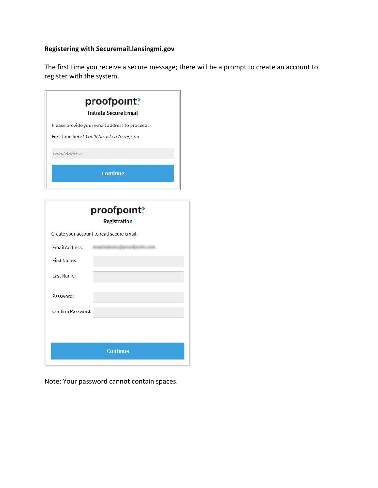# **Registering with Securemail.lansingmi.gov**

The first time you receive a secure message; there will be a prompt to create an account to register with the system.

|                                               | proofpoint?<br><b>Initiate Secure Email</b>   |
|-----------------------------------------------|-----------------------------------------------|
|                                               | Please provide your email address to proceed. |
|                                               | First time here? You'll be asked to register. |
| Email Address                                 |                                               |
|                                               | <b>Continue</b>                               |
|                                               |                                               |
|                                               | proofpoint?<br><b>Registration</b>            |
|                                               |                                               |
|                                               | Create your account to read secure email.     |
| <b>Email Address:</b>                         | $-11111111$                                   |
|                                               |                                               |
|                                               |                                               |
| <b>First Name:</b><br>Last Name:<br>Password: |                                               |
| Confirm Password:                             |                                               |
|                                               |                                               |
|                                               |                                               |

Note: Your password cannot contain spaces.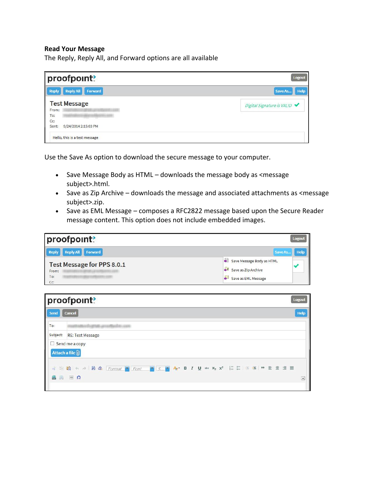#### **Read Your Message**

The Reply, Reply All, and Forward options are all available

| proofpoint?                                      | <b>Logout</b>                |
|--------------------------------------------------|------------------------------|
| Ш<br><b>Reply All</b><br>Forward<br><b>Reply</b> | Help<br>Save As              |
| <b>Test Message</b><br>From:                     | Digital Signature is VALID ◆ |
| To:                                              |                              |
| Cc:<br>9/24/2014 2:15:03 PM<br>Sent:             |                              |
| Hello, this is a test message                    |                              |

Use the Save As option to download the secure message to your computer.

- Save Message Body as HTML downloads the message body as <message subject>.html.
- Save as Zip Archive downloads the message and associated attachments as <message subject>.zip.
- Save as EML Message composes a RFC2822 message based upon the Secure Reader message content. This option does not include embedded images.

| proofpoint?                                       |                                                                                                | <b>Logout</b> |
|---------------------------------------------------|------------------------------------------------------------------------------------------------|---------------|
| Reply<br>Reply All Forward                        | Save As                                                                                        | Help          |
| Test Message for PPS 8.0.1<br>From:<br>To:<br>Cc: | L.<br>Save Message Body as HTML<br>Save as Zip Archive<br>$\rightarrow$<br>Save as EML Message |               |

|             | proofpoint?<br><b>Logout</b>                                                                                                      |                  |  |
|-------------|-----------------------------------------------------------------------------------------------------------------------------------|------------------|--|
| <b>Send</b> | <b>Cancel</b>                                                                                                                     |                  |  |
| To:         | <b>START LIFT AFTER FRAME</b>                                                                                                     |                  |  |
|             | Subject: RE: Test Message                                                                                                         |                  |  |
|             | $\Box$ Send me a copy<br>Attach a file (                                                                                          |                  |  |
| 謝           | <b>电响 ← → H &amp; Format <mark>&gt;</mark> Font &gt; S At B I U at x2 x<sup>2</sup> } } } } } }</b> } } } } } } }<br><b>AA EQ</b> | $\blacktriangle$ |  |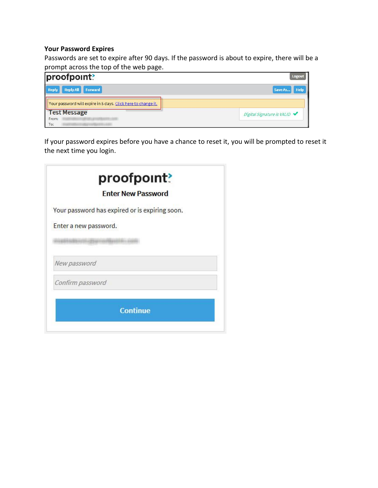## **Your Password Expires**

Passwords are set to expire after 90 days. If the password is about to expire, there will be a prompt across the top of the web page.

| proofpoint?                                                   | <b>Logout</b>                |
|---------------------------------------------------------------|------------------------------|
| Reply All Forward<br><b>Reply</b>                             | <b>Help</b><br>Save As       |
| Your password will expire in 5 days. Click here to change it. |                              |
| <b>Test Message</b><br>From:<br>To:                           | Digital Signature is VALID ◆ |

If your password expires before you have a chance to reset it, you will be prompted to reset it the next time you login.

|                  | proofpoint?                                    |
|------------------|------------------------------------------------|
|                  | <b>Enter New Password</b>                      |
|                  | Your password has expired or is expiring soon. |
|                  | Enter a new password.                          |
|                  |                                                |
| New password     |                                                |
| Confirm password |                                                |
|                  | <b>Continue</b>                                |
|                  |                                                |